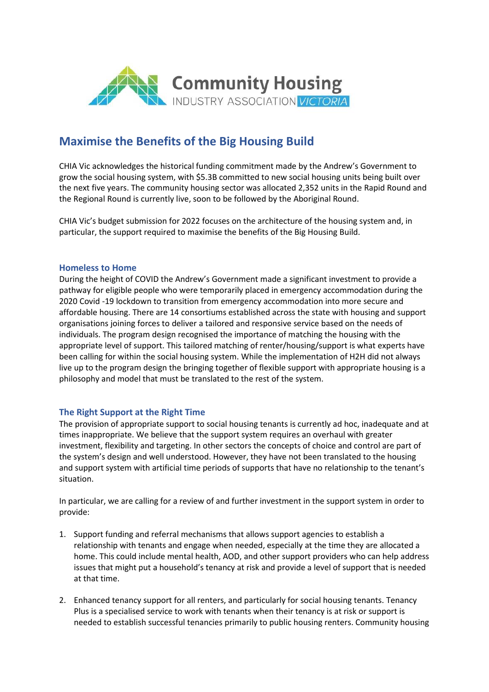

# **Maximise the Benefits of the Big Housing Build**

CHIA Vic acknowledges the historical funding commitment made by the Andrew's Government to grow the social housing system, with \$5.3B committed to new social housing units being built over the next five years. The community housing sector was allocated 2,352 units in the Rapid Round and the Regional Round is currently live, soon to be followed by the Aboriginal Round.

CHIA Vic's budget submission for 2022 focuses on the architecture of the housing system and, in particular, the support required to maximise the benefits of the Big Housing Build.

#### **Homeless to Home**

During the height of COVID the Andrew's Government made a significant investment to provide a pathway for eligible people who were temporarily placed in emergency accommodation during the 2020 Covid -19 lockdown to transition from emergency accommodation into more secure and affordable housing. There are 14 consortiums established across the state with housing and support organisations joining forces to deliver a tailored and responsive service based on the needs of individuals. The program design recognised the importance of matching the housing with the appropriate level of support. This tailored matching of renter/housing/support is what experts have been calling for within the social housing system. While the implementation of H2H did not always live up to the program design the bringing together of flexible support with appropriate housing is a philosophy and model that must be translated to the rest of the system.

## **The Right Support at the Right Time**

The provision of appropriate support to social housing tenants is currently ad hoc, inadequate and at times inappropriate. We believe that the support system requires an overhaul with greater investment, flexibility and targeting. In other sectors the concepts of choice and control are part of the system's design and well understood. However, they have not been translated to the housing and support system with artificial time periods of supports that have no relationship to the tenant's situation.

In particular, we are calling for a review of and further investment in the support system in order to provide:

- 1. Support funding and referral mechanisms that allows support agencies to establish a relationship with tenants and engage when needed, especially at the time they are allocated a home. This could include mental health, AOD, and other support providers who can help address issues that might put a household's tenancy at risk and provide a level of support that is needed at that time.
- 2. Enhanced tenancy support for all renters, and particularly for social housing tenants. Tenancy Plus is a specialised service to work with tenants when their tenancy is at risk or support is needed to establish successful tenancies primarily to public housing renters. Community housing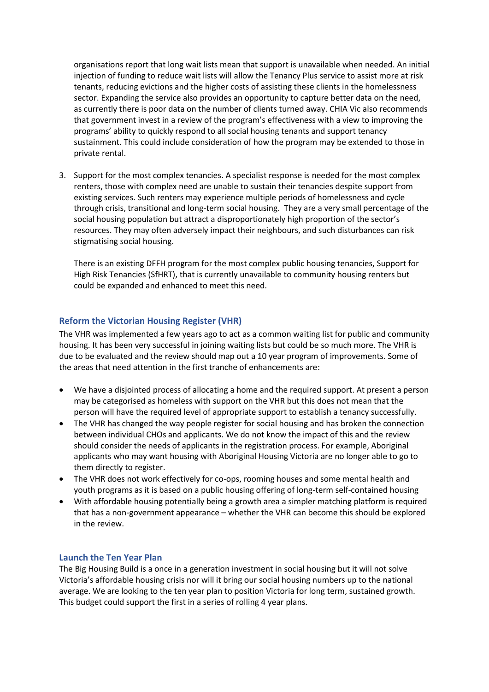organisations report that long wait lists mean that support is unavailable when needed. An initial injection of funding to reduce wait lists will allow the Tenancy Plus service to assist more at risk tenants, reducing evictions and the higher costs of assisting these clients in the homelessness sector. Expanding the service also provides an opportunity to capture better data on the need, as currently there is poor data on the number of clients turned away. CHIA Vic also recommends that government invest in a review of the program's effectiveness with a view to improving the programs' ability to quickly respond to all social housing tenants and support tenancy sustainment. This could include consideration of how the program may be extended to those in private rental.

3. Support for the most complex tenancies. A specialist response is needed for the most complex renters, those with complex need are unable to sustain their tenancies despite support from existing services. Such renters may experience multiple periods of homelessness and cycle through crisis, transitional and long-term social housing. They are a very small percentage of the social housing population but attract a disproportionately high proportion of the sector's resources. They may often adversely impact their neighbours, and such disturbances can risk stigmatising social housing.

There is an existing DFFH program for the most complex public housing tenancies, Support for High Risk Tenancies (SfHRT), that is currently unavailable to community housing renters but could be expanded and enhanced to meet this need.

## **Reform the Victorian Housing Register (VHR)**

The VHR was implemented a few years ago to act as a common waiting list for public and community housing. It has been very successful in joining waiting lists but could be so much more. The VHR is due to be evaluated and the review should map out a 10 year program of improvements. Some of the areas that need attention in the first tranche of enhancements are:

- We have a disjointed process of allocating a home and the required support. At present a person may be categorised as homeless with support on the VHR but this does not mean that the person will have the required level of appropriate support to establish a tenancy successfully.
- The VHR has changed the way people register for social housing and has broken the connection between individual CHOs and applicants. We do not know the impact of this and the review should consider the needs of applicants in the registration process. For example, Aboriginal applicants who may want housing with Aboriginal Housing Victoria are no longer able to go to them directly to register.
- The VHR does not work effectively for co-ops, rooming houses and some mental health and youth programs as it is based on a public housing offering of long-term self-contained housing
- With affordable housing potentially being a growth area a simpler matching platform is required that has a non-government appearance – whether the VHR can become this should be explored in the review.

#### **Launch the Ten Year Plan**

The Big Housing Build is a once in a generation investment in social housing but it will not solve Victoria's affordable housing crisis nor will it bring our social housing numbers up to the national average. We are looking to the ten year plan to position Victoria for long term, sustained growth. This budget could support the first in a series of rolling 4 year plans.